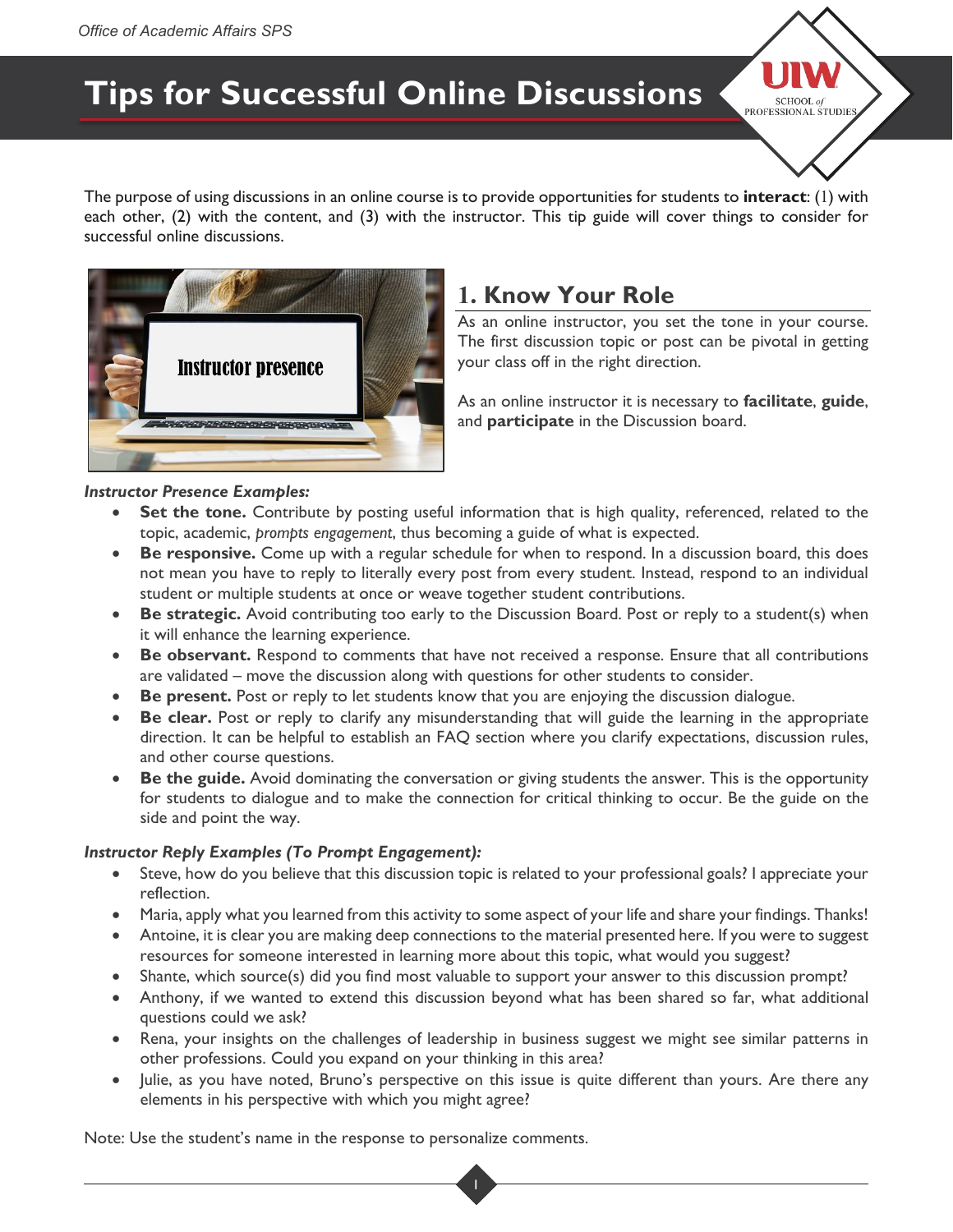# **Tips for Successful Online Discussions**



The purpose of using discussions in an online course is to provide opportunities for students to **interact**: (1) with each other, (2) with the content, and (3) with the instructor. This tip guide will cover things to consider for successful online discussions.



## **1. Know Your Role**

As an online instructor, you set the tone in your course. The first discussion topic or post can be pivotal in getting your class off in the right direction.

As an online instructor it is necessary to **facilitate**, **guide**, and **participate** in the Discussion board.

### *Instructor Presence Examples:*

- **Set the tone.** Contribute by posting useful information that is high quality, referenced, related to the topic, academic, *prompts engagement*, thus becoming a guide of what is expected.
- **Be responsive.** Come up with a regular schedule for when to respond. In a discussion board, this does not mean you have to reply to literally every post from every student. Instead, respond to an individual student or multiple students at once or weave together student contributions.
- **Be strategic.** Avoid contributing too early to the Discussion Board. Post or reply to a student(s) when it will enhance the learning experience.
- **Be observant.** Respond to comments that have not received a response. Ensure that all contributions are validated – move the discussion along with questions for other students to consider.
- **Be present.** Post or reply to let students know that you are enjoying the discussion dialogue.
- **Be clear.** Post or reply to clarify any misunderstanding that will guide the learning in the appropriate direction. It can be helpful to establish an FAQ section where you clarify expectations, discussion rules, and other course questions.
- **Be the guide.** Avoid dominating the conversation or giving students the answer. This is the opportunity for students to dialogue and to make the connection for critical thinking to occur. Be the guide on the side and point the way.

### *Instructor Reply Examples (To Prompt Engagement):*

- Steve, how do you believe that this discussion topic is related to your professional goals? I appreciate your reflection.
- Maria, apply what you learned from this activity to some aspect of your life and share your findings. Thanks!
- Antoine, it is clear you are making deep connections to the material presented here. If you were to suggest resources for someone interested in learning more about this topic, what would you suggest?
- Shante, which source(s) did you find most valuable to support your answer to this discussion prompt?
- Anthony, if we wanted to extend this discussion beyond what has been shared so far, what additional questions could we ask?
- Rena, your insights on the challenges of leadership in business suggest we might see similar patterns in other professions. Could you expand on your thinking in this area?
- Julie, as you have noted, Bruno's perspective on this issue is quite different than yours. Are there any elements in his perspective with which you might agree?

Note: Use the student's name in the response to personalize comments.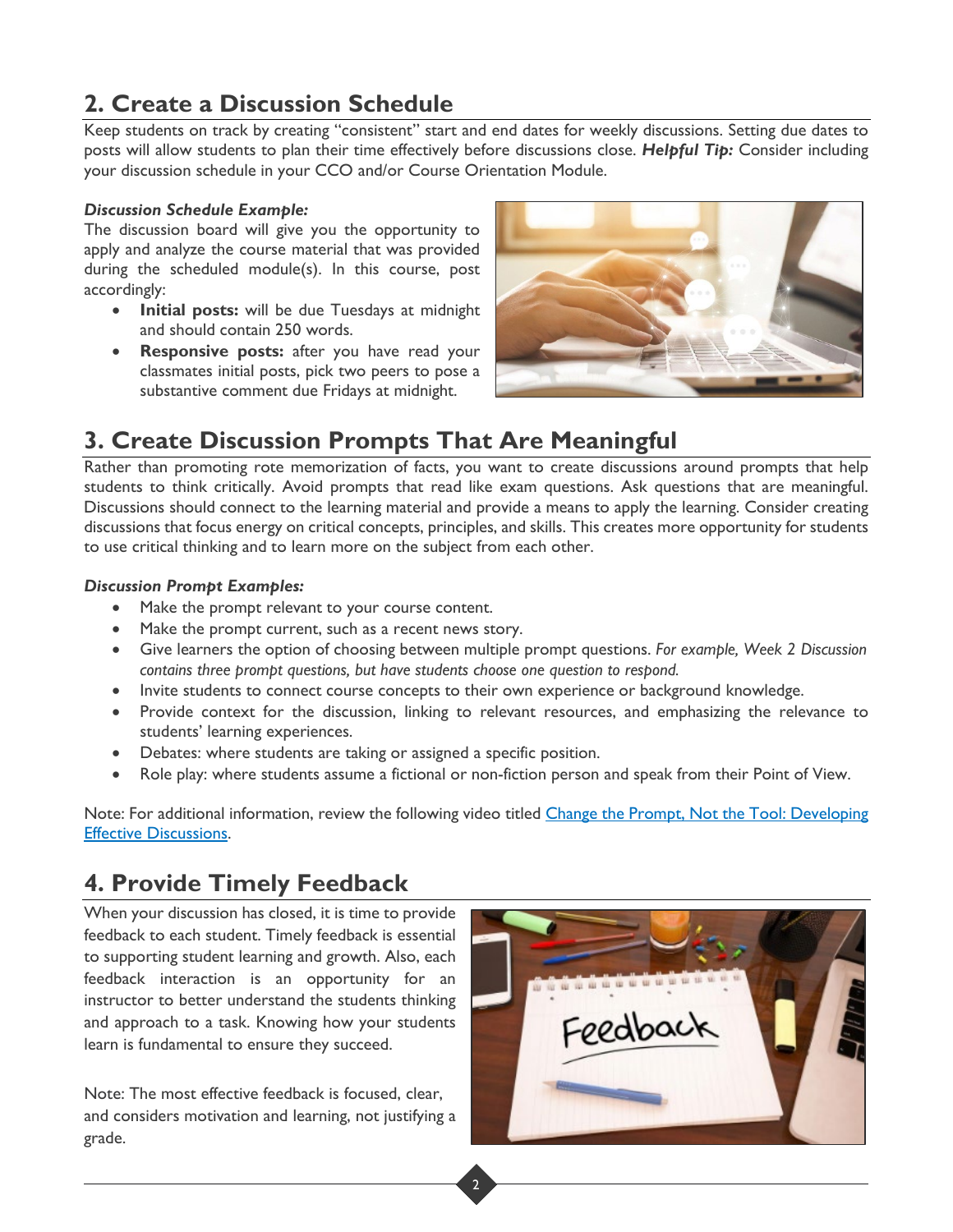# **2. Create a Discussion Schedule**

Keep students on track by creating "consistent" start and end dates for weekly discussions. Setting due dates to posts will allow students to plan their time effectively before discussions close. *Helpful Tip:* Consider including your discussion schedule in your CCO and/or Course Orientation Module.

#### *Discussion Schedule Example:*

The discussion board will give you the opportunity to apply and analyze the course material that was provided during the scheduled module(s). In this course, post accordingly:

- **Initial posts:** will be due Tuesdays at midnight and should contain 250 words.
- **Responsive posts:** after you have read your classmates initial posts, pick two peers to pose a substantive comment due Fridays at midnight.



## **3. Create Discussion Prompts That Are Meaningful**

Rather than promoting rote memorization of facts, you want to create discussions around prompts that help students to think critically. Avoid prompts that read like exam questions. Ask questions that are meaningful. Discussions should connect to the learning material and provide a means to apply the learning. Consider creating discussions that focus energy on critical concepts, principles, and skills. This creates more opportunity for students to use critical thinking and to learn more on the subject from each other.

### *Discussion Prompt Examples:*

- Make the prompt relevant to your course content.
- Make the prompt current, such as a recent news story.
- Give learners the option of choosing between multiple prompt questions. *For example, Week 2 Discussion contains three prompt questions, but have students choose one question to respond.*
- Invite students to connect course concepts to their own experience or background knowledge.
- Provide context for the discussion, linking to relevant resources, and emphasizing the relevance to students' learning experiences.
- Debates: where students are taking or assigned a specific position.
- Role play: where students assume a fictional or non-fiction person and speak from their Point of View.

Note: For additional information, review the following video titled Change the Prompt, Not the Tool: Developing [Effective Discussions.](https://www.instructure.com/canvas/resources/instructurecon-2021/change-the-prompt-not-the-tool-developing-effective-discussions#main-content)

### **4. Provide Timely Feedback**

When your discussion has closed, it is time to provide feedback to each student. Timely feedback is essential to supporting student learning and growth. Also, each feedback interaction is an opportunity for an instructor to better understand the students thinking and approach to a task. Knowing how your students learn is fundamental to ensure they succeed.

Note: The most effective feedback is focused, clear, and considers motivation and learning, not justifying a grade.